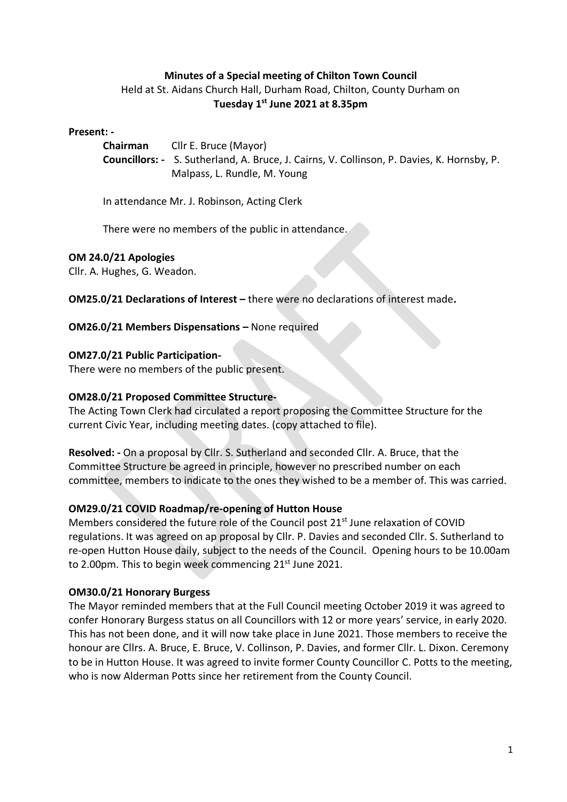# **Minutes of a Special meeting of Chilton Town Council**

Held at St. Aidans Church Hall, Durham Road, Chilton, County Durham on **Tuesday 1 st June 2021 at 8.35pm**

#### **Present: -**

**Chairman** Cllr E. Bruce (Mayor) **Councillors: -** S. Sutherland, A. Bruce, J. Cairns, V. Collinson, P. Davies, K. Hornsby, P. Malpass, L. Rundle, M. Young

In attendance Mr. J. Robinson, Acting Clerk

There were no members of the public in attendance.

#### **OM 24.0/21 Apologies**

Cllr. A. Hughes, G. Weadon.

**OM25.0/21 Declarations of Interest –** there were no declarations of interest made**.**

## **OM26.0/21 Members Dispensations –** None required

#### **OM27.0/21 Public Participation-**

There were no members of the public present.

#### **OM28.0/21 Proposed Committee Structure-**

The Acting Town Clerk had circulated a report proposing the Committee Structure for the current Civic Year, including meeting dates. (copy attached to file).

**Resolved: -** On a proposal by Cllr. S. Sutherland and seconded Cllr. A. Bruce, that the Committee Structure be agreed in principle, however no prescribed number on each committee, members to indicate to the ones they wished to be a member of. This was carried.

## **OM29.0/21 COVID Roadmap/re-opening of Hutton House**

Members considered the future role of the Council post 21<sup>st</sup> June relaxation of COVID regulations. It was agreed on ap proposal by Cllr. P. Davies and seconded Cllr. S. Sutherland to re-open Hutton House daily, subject to the needs of the Council. Opening hours to be 10.00am to 2.00pm. This to begin week commencing 21<sup>st</sup> June 2021.

## **OM30.0/21 Honorary Burgess**

The Mayor reminded members that at the Full Council meeting October 2019 it was agreed to confer Honorary Burgess status on all Councillors with 12 or more years' service, in early 2020. This has not been done, and it will now take place in June 2021. Those members to receive the honour are Cllrs. A. Bruce, E. Bruce, V. Collinson, P. Davies, and former Cllr. L. Dixon. Ceremony to be in Hutton House. It was agreed to invite former County Councillor C. Potts to the meeting, who is now Alderman Potts since her retirement from the County Council.